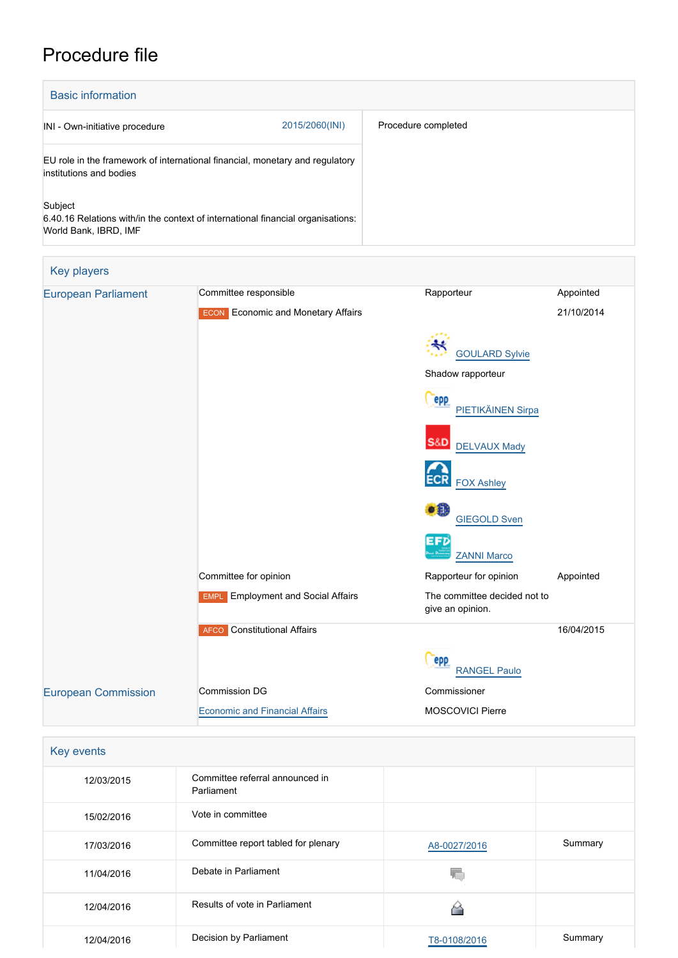## Procedure file

| <b>Basic information</b>                                                                                            |                     |  |  |  |
|---------------------------------------------------------------------------------------------------------------------|---------------------|--|--|--|
| 2015/2060(INI)<br>INI - Own-initiative procedure                                                                    | Procedure completed |  |  |  |
| EU role in the framework of international financial, monetary and regulatory<br>institutions and bodies             |                     |  |  |  |
| Subject<br>6.40.16 Relations with/in the context of international financial organisations:<br>World Bank, IBRD, IMF |                     |  |  |  |
| Key players                                                                                                         |                     |  |  |  |

| <b>Rey players</b>         |                                           |                                                  |            |
|----------------------------|-------------------------------------------|--------------------------------------------------|------------|
| <b>European Parliament</b> | Committee responsible                     | Rapporteur                                       | Appointed  |
|                            | <b>ECON</b> Economic and Monetary Affairs |                                                  | 21/10/2014 |
|                            |                                           | لاجتم                                            |            |
|                            |                                           | <b>GOULARD Sylvie</b>                            |            |
|                            |                                           | Shadow rapporteur                                |            |
|                            |                                           | <b>epp</b><br>PIETIKÄINEN Sirpa                  |            |
|                            |                                           | <b>S&amp;D</b><br><b>DELVAUX Mady</b>            |            |
|                            |                                           | <b>ECR</b><br><b>FOX Ashley</b>                  |            |
|                            |                                           | $\bullet$ $\bullet$<br><b>GIEGOLD Sven</b>       |            |
|                            |                                           | EFD<br><b>ZANNI Marco</b>                        |            |
|                            | Committee for opinion                     | Rapporteur for opinion                           | Appointed  |
|                            | <b>EMPL</b> Employment and Social Affairs | The committee decided not to<br>give an opinion. |            |
|                            | <b>AFCO</b> Constitutional Affairs        |                                                  | 16/04/2015 |
|                            |                                           | epp<br><b>RANGEL Paulo</b>                       |            |
| <b>European Commission</b> | Commission DG                             | Commissioner                                     |            |
|                            | <b>Economic and Financial Affairs</b>     | <b>MOSCOVICI Pierre</b>                          |            |

| Key events |                                               |              |         |
|------------|-----------------------------------------------|--------------|---------|
| 12/03/2015 | Committee referral announced in<br>Parliament |              |         |
| 15/02/2016 | Vote in committee                             |              |         |
| 17/03/2016 | Committee report tabled for plenary           | A8-0027/2016 | Summary |
| 11/04/2016 | Debate in Parliament                          |              |         |
| 12/04/2016 | Results of vote in Parliament                 |              |         |
| 12/04/2016 | Decision by Parliament                        | T8-0108/2016 | Summary |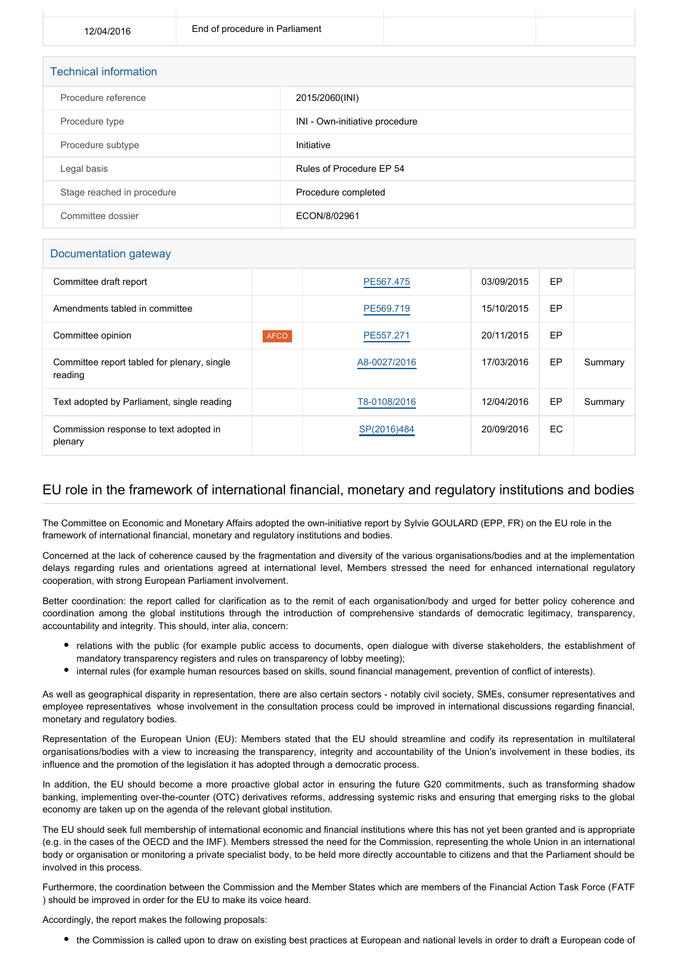| <b>Technical information</b> |                                |
|------------------------------|--------------------------------|
| Procedure reference          | 2015/2060(INI)                 |
| Procedure type               | INI - Own-initiative procedure |
| Procedure subtype            | Initiative                     |
| Legal basis                  | Rules of Procedure EP 54       |
| Stage reached in procedure   | Procedure completed            |
| Committee dossier            | ECON/8/02961                   |

## Documentation gateway

| Committee draft report                                 |             | PE567.475    | 03/09/2015 | EP        |         |
|--------------------------------------------------------|-------------|--------------|------------|-----------|---------|
| Amendments tabled in committee                         |             | PE569.719    | 15/10/2015 | EP        |         |
| Committee opinion                                      | <b>AFCO</b> | PE557.271    | 20/11/2015 | EP        |         |
| Committee report tabled for plenary, single<br>reading |             | A8-0027/2016 | 17/03/2016 | EP        | Summary |
| Text adopted by Parliament, single reading             |             | T8-0108/2016 | 12/04/2016 | EP        | Summary |
| Commission response to text adopted in<br>plenary      |             | SP(2016)484  | 20/09/2016 | <b>EC</b> |         |

## EU role in the framework of international financial, monetary and regulatory institutions and bodies

The Committee on Economic and Monetary Affairs adopted the own-initiative report by Sylvie GOULARD (EPP, FR) on the EU role in the framework of international financial, monetary and regulatory institutions and bodies.

Concerned at the lack of coherence caused by the fragmentation and diversity of the various organisations/bodies and at the implementation delays regarding rules and orientations agreed at international level, Members stressed the need for enhanced international regulatory cooperation, with strong European Parliament involvement.

Better coordination: the report called for clarification as to the remit of each organisation/body and urged for better policy coherence and coordination among the global institutions through the introduction of comprehensive standards of democratic legitimacy, transparency, accountability and integrity. This should, inter alia, concern:

- relations with the public (for example public access to documents, open dialogue with diverse stakeholders, the establishment of mandatory transparency registers and rules on transparency of lobby meeting);
- internal rules (for example human resources based on skills, sound financial management, prevention of conflict of interests).

As well as geographical disparity in representation, there are also certain sectors - notably civil society, SMEs, consumer representatives and employee representatives whose involvement in the consultation process could be improved in international discussions regarding financial, monetary and regulatory bodies.

Representation of the European Union (EU): Members stated that the EU should streamline and codify its representation in multilateral organisations/bodies with a view to increasing the transparency, integrity and accountability of the Union's involvement in these bodies, its influence and the promotion of the legislation it has adopted through a democratic process.

In addition, the EU should become a more proactive global actor in ensuring the future G20 commitments, such as transforming shadow banking, implementing over-the-counter (OTC) derivatives reforms, addressing systemic risks and ensuring that emerging risks to the global economy are taken up on the agenda of the relevant global institution.

The EU should seek full membership of international economic and financial institutions where this has not yet been granted and is appropriate (e.g. in the cases of the OECD and the IMF). Members stressed the need for the Commission, representing the whole Union in an international body or organisation or monitoring a private specialist body, to be held more directly accountable to citizens and that the Parliament should be involved in this process.

Furthermore, the coordination between the Commission and the Member States which are members of the Financial Action Task Force (FATF ) should be improved in order for the EU to make its voice heard.

Accordingly, the report makes the following proposals:

the Commission is called upon to draw on existing best practices at European and national levels in order to draft a European code of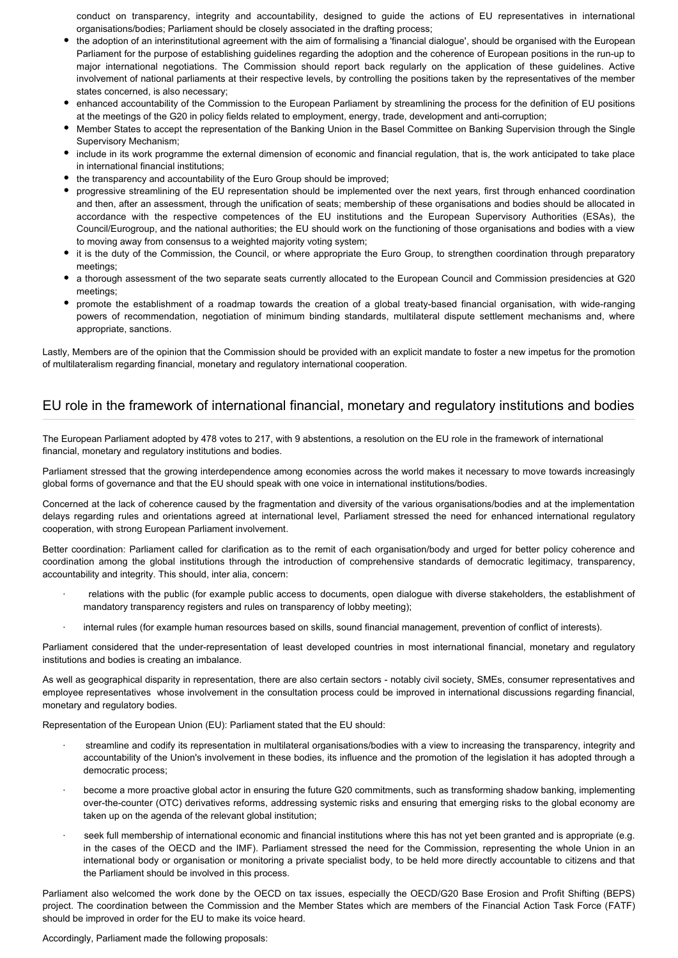conduct on transparency, integrity and accountability, designed to guide the actions of EU representatives in international organisations/bodies; Parliament should be closely associated in the drafting process;

- the adoption of an interinstitutional agreement with the aim of formalising a 'financial dialogue', should be organised with the European Parliament for the purpose of establishing guidelines regarding the adoption and the coherence of European positions in the run-up to major international negotiations. The Commission should report back regularly on the application of these guidelines. Active involvement of national parliaments at their respective levels, by controlling the positions taken by the representatives of the member states concerned, is also necessary;
- enhanced accountability of the Commission to the European Parliament by streamlining the process for the definition of EU positions at the meetings of the G20 in policy fields related to employment, energy, trade, development and anti-corruption;
- Member States to accept the representation of the Banking Union in the Basel Committee on Banking Supervision through the Single Supervisory Mechanism;
- include in its work programme the external dimension of economic and financial regulation, that is, the work anticipated to take place in international financial institutions;
- the transparency and accountability of the Euro Group should be improved;
- progressive streamlining of the EU representation should be implemented over the next years, first through enhanced coordination and then, after an assessment, through the unification of seats; membership of these organisations and bodies should be allocated in accordance with the respective competences of the EU institutions and the European Supervisory Authorities (ESAs), the Council/Eurogroup, and the national authorities; the EU should work on the functioning of those organisations and bodies with a view to moving away from consensus to a weighted majority voting system;
- $\bullet$  it is the duty of the Commission, the Council, or where appropriate the Euro Group, to strengthen coordination through preparatory meetings;
- a thorough assessment of the two separate seats currently allocated to the European Council and Commission presidencies at G20 meetings;
- promote the establishment of a roadmap towards the creation of a global treaty-based financial organisation, with wide-ranging powers of recommendation, negotiation of minimum binding standards, multilateral dispute settlement mechanisms and, where appropriate, sanctions.

Lastly, Members are of the opinion that the Commission should be provided with an explicit mandate to foster a new impetus for the promotion of multilateralism regarding financial, monetary and regulatory international cooperation.

## EU role in the framework of international financial, monetary and regulatory institutions and bodies

The European Parliament adopted by 478 votes to 217, with 9 abstentions, a resolution on the EU role in the framework of international financial, monetary and regulatory institutions and bodies.

Parliament stressed that the growing interdependence among economies across the world makes it necessary to move towards increasingly global forms of governance and that the EU should speak with one voice in international institutions/bodies.

Concerned at the lack of coherence caused by the fragmentation and diversity of the various organisations/bodies and at the implementation delays regarding rules and orientations agreed at international level, Parliament stressed the need for enhanced international regulatory cooperation, with strong European Parliament involvement.

Better coordination: Parliament called for clarification as to the remit of each organisation/body and urged for better policy coherence and coordination among the global institutions through the introduction of comprehensive standards of democratic legitimacy, transparency, accountability and integrity. This should, inter alia, concern:

- relations with the public (for example public access to documents, open dialogue with diverse stakeholders, the establishment of mandatory transparency registers and rules on transparency of lobby meeting):
- internal rules (for example human resources based on skills, sound financial management, prevention of conflict of interests).

Parliament considered that the under-representation of least developed countries in most international financial, monetary and regulatory institutions and bodies is creating an imbalance.

As well as geographical disparity in representation, there are also certain sectors - notably civil society, SMEs, consumer representatives and employee representatives whose involvement in the consultation process could be improved in international discussions regarding financial, monetary and regulatory bodies.

Representation of the European Union (EU): Parliament stated that the EU should:

- streamline and codify its representation in multilateral organisations/bodies with a view to increasing the transparency, integrity and accountability of the Union's involvement in these bodies, its influence and the promotion of the legislation it has adopted through a democratic process;
- · become a more proactive global actor in ensuring the future G20 commitments, such as transforming shadow banking, implementing over-the-counter (OTC) derivatives reforms, addressing systemic risks and ensuring that emerging risks to the global economy are taken up on the agenda of the relevant global institution;
- · seek full membership of international economic and financial institutions where this has not yet been granted and is appropriate (e.g. in the cases of the OECD and the IMF). Parliament stressed the need for the Commission, representing the whole Union in an international body or organisation or monitoring a private specialist body, to be held more directly accountable to citizens and that the Parliament should be involved in this process.

Parliament also welcomed the work done by the OECD on tax issues, especially the OECD/G20 Base Erosion and Profit Shifting (BEPS) project. The coordination between the Commission and the Member States which are members of the Financial Action Task Force (FATF) should be improved in order for the EU to make its voice heard.

Accordingly, Parliament made the following proposals: